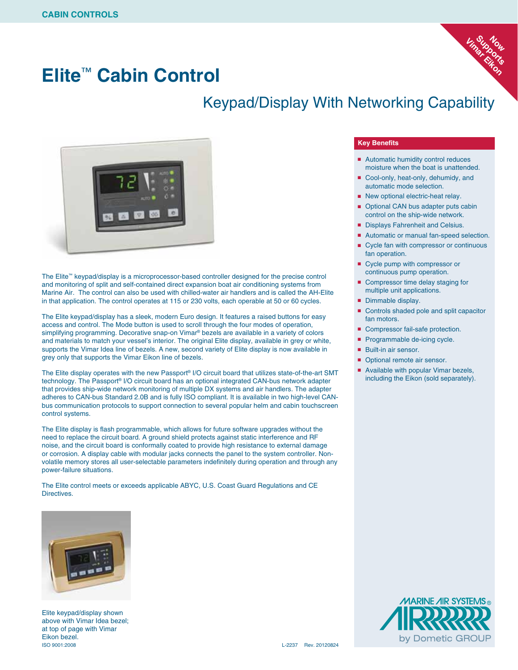### **Elite**™ **Cabin Control**





The Elite™ keypad/display is a microprocessor-based controller designed for the precise control and monitoring of split and self-contained direct expansion boat air conditioning systems from Marine Air. The control can also be used with chilled-water air handlers and is called the AH-Elite in that application. The control operates at 115 or 230 volts, each operable at 50 or 60 cycles.

The Elite keypad/display has a sleek, modern Euro design. It features a raised buttons for easy access and control. The Mode button is used to scroll through the four modes of operation, simplifying programming. Decorative snap-on Vimar® bezels are available in a variety of colors and materials to match your vessel's interior. The original Elite display, available in grey or white, supports the Vimar Idea line of bezels. A new, second variety of Elite display is now available in grey only that supports the Vimar Eikon line of bezels.

The Elite display operates with the new Passport® I/O circuit board that utilizes state-of-the-art SMT technology. The Passport® I/O circuit board has an optional integrated CAN-bus network adapter that provides ship-wide network monitoring of multiple DX systems and air handlers. The adapter adheres to CAN-bus Standard 2.0B and is fully ISO compliant. It is available in two high-level CANbus communication protocols to support connection to several popular helm and cabin touchscreen control systems.

The Elite display is flash programmable, which allows for future software upgrades without the need to replace the circuit board. A ground shield protects against static interference and RF noise, and the circuit board is conformally coated to provide high resistance to external damage or corrosion. A display cable with modular jacks connects the panel to the system controller. Nonvolatile memory stores all user-selectable parameters indefinitely during operation and through any power-failure situations.

The Elite control meets or exceeds applicable ABYC, U.S. Coast Guard Regulations and CE Directives.



Elite keypad/display shown above with Vimar Idea bezel; at top of page with Vimar Eikon bezel. ISO 9001:2008 L-2237 Rev. 20120824

#### **Key Benefits**

■ Automatic humidity control reduces moisture when the boat is unattended.

**Vimar Eikon Support Now** 

- Cool-only, heat-only, dehumidy, and automatic mode selection.
- New optional electric-heat relay.
- Optional CAN bus adapter puts cabin control on the ship-wide network.
- Displays Fahrenheit and Celsius.
- Automatic or manual fan-speed selection.
- Cycle fan with compressor or continuous fan operation.
- Cycle pump with compressor or continuous pump operation.
- Compressor time delay staging for multiple unit applications.
- Dimmable display.
- Controls shaded pole and split capacitor fan motors.
- Compressor fail-safe protection.
- Programmable de-icing cycle.
- Built-in air sensor.
- Optional remote air sensor.
- Available with popular Vimar bezels, including the Eikon (sold separately).